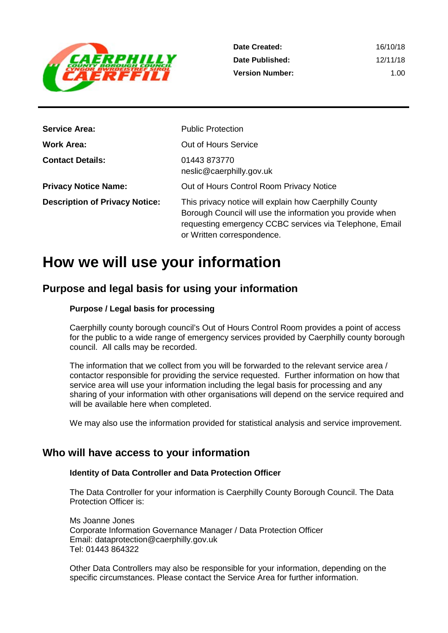

| <b>Service Area:</b>                  | <b>Public Protection</b>                                                                                                                                                                                     |
|---------------------------------------|--------------------------------------------------------------------------------------------------------------------------------------------------------------------------------------------------------------|
| <b>Work Area:</b>                     | Out of Hours Service                                                                                                                                                                                         |
| <b>Contact Details:</b>               | 01443 873770<br>neslic@caerphilly.gov.uk                                                                                                                                                                     |
| <b>Privacy Notice Name:</b>           | Out of Hours Control Room Privacy Notice                                                                                                                                                                     |
| <b>Description of Privacy Notice:</b> | This privacy notice will explain how Caerphilly County<br>Borough Council will use the information you provide when<br>requesting emergency CCBC services via Telephone, Email<br>or Written correspondence. |

## **How we will use your information**

## **Purpose and legal basis for using your information**

### **Purpose / Legal basis for processing**

Caerphilly county borough council's Out of Hours Control Room provides a point of access for the public to a wide range of emergency services provided by Caerphilly county borough council. All calls may be recorded.

The information that we collect from you will be forwarded to the relevant service area / contactor responsible for providing the service requested. Further information on how that service area will use your information including the legal basis for processing and any sharing of your information with other organisations will depend on the service required and will be available here when completed.

We may also use the information provided for statistical analysis and service improvement.

## **Who will have access to your information**

## **Identity of Data Controller and Data Protection Officer**

The Data Controller for your information is Caerphilly County Borough Council. The Data Protection Officer is:

Ms Joanne Jones Corporate Information Governance Manager / Data Protection Officer Email: dataprotection@caerphilly.gov.uk Tel: 01443 864322

Other Data Controllers may also be responsible for your information, depending on the specific circumstances. Please contact the Service Area for further information.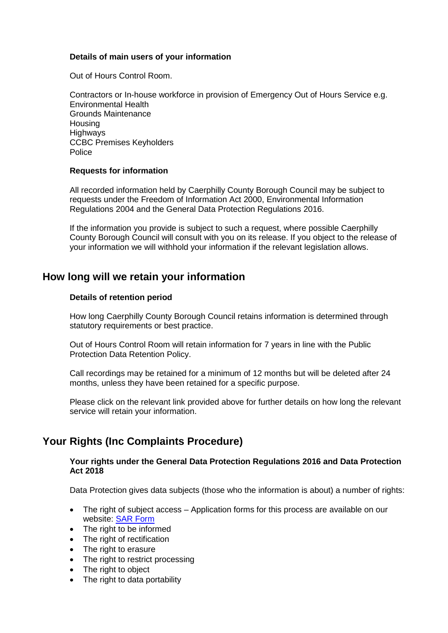### **Details of main users of your information**

Out of Hours Control Room.

Contractors or In-house workforce in provision of Emergency Out of Hours Service e.g. Environmental Health Grounds Maintenance **Housing Highways** CCBC Premises Keyholders Police

### **Requests for information**

All recorded information held by Caerphilly County Borough Council may be subject to requests under the Freedom of Information Act 2000, Environmental Information Regulations 2004 and the General Data Protection Regulations 2016.

If the information you provide is subject to such a request, where possible Caerphilly County Borough Council will consult with you on its release. If you object to the release of your information we will withhold your information if the relevant legislation allows.

## **How long will we retain your information**

#### **Details of retention period**

How long Caerphilly County Borough Council retains information is determined through statutory requirements or best practice.

Out of Hours Control Room will retain information for 7 years in line with the Public Protection Data Retention Policy.

Call recordings may be retained for a minimum of 12 months but will be deleted after 24 months, unless they have been retained for a specific purpose.

Please click on the relevant link provided above for further details on how long the relevant service will retain your information.

## **Your Rights (Inc Complaints Procedure)**

#### **Your rights under the General Data Protection Regulations 2016 and Data Protection Act 2018**

Data Protection gives data subjects (those who the information is about) a number of rights:

- The right of subject access Application forms for this process are available on our website: [SAR Form](http://www.caerphilly.gov.uk/CaerphillyDocs/Council-and-democracy/sar_form.aspx)
- The right to be informed
- The right of rectification
- The right to erasure
- The right to restrict processing
- The right to object
- The right to data portability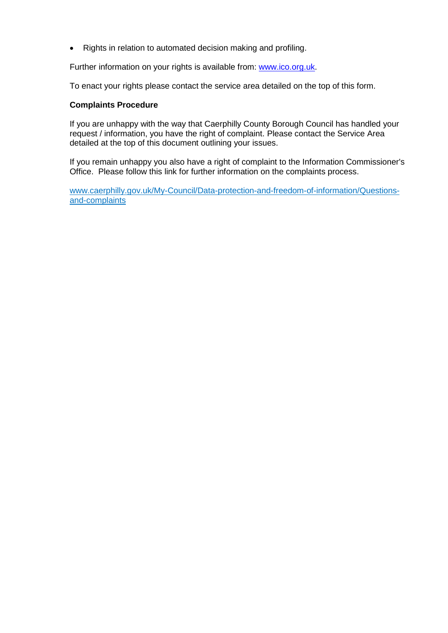• Rights in relation to automated decision making and profiling.

Further information on your rights is available from: [www.ico.org.uk.](http://www.ico.org.uk/)

To enact your rights please contact the service area detailed on the top of this form.

## **Complaints Procedure**

If you are unhappy with the way that Caerphilly County Borough Council has handled your request / information, you have the right of complaint. Please contact the Service Area detailed at the top of this document outlining your issues.

If you remain unhappy you also have a right of complaint to the Information Commissioner's Office. Please follow this link for further information on the complaints process.

[www.caerphilly.gov.uk/My-Council/Data-protection-and-freedom-of-information/Questions](http://www.caerphilly.gov.uk/My-Council/Data-protection-and-freedom-of-information/Questions-and-complaints)[and-complaints](http://www.caerphilly.gov.uk/My-Council/Data-protection-and-freedom-of-information/Questions-and-complaints)